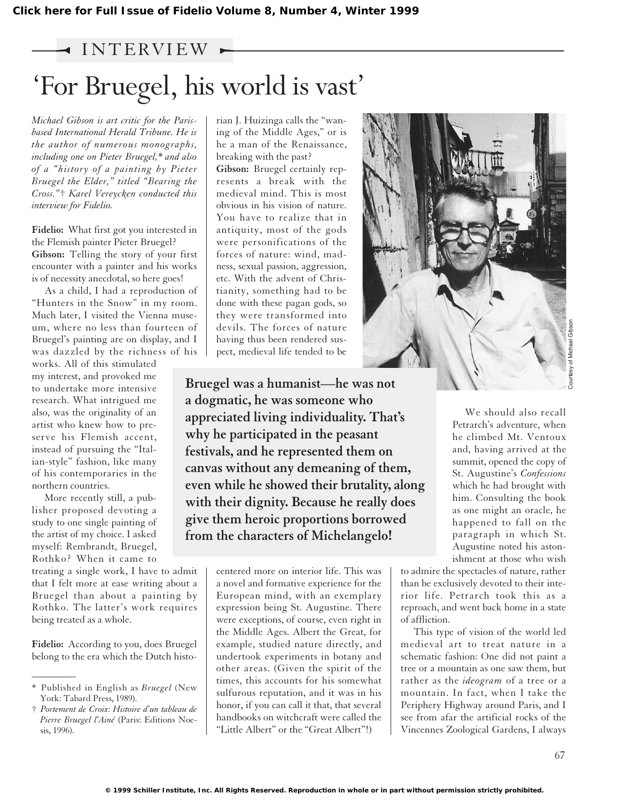## $\rightarrow$  INTERVIEW  $\rightarrow$

## 'For Bruegel, his world is vast'

*Michael Gibson is art critic for the Parisbased International Herald Tribune. He is the author of numerous monographs, including one on Pieter Bruegel,\* and also of a "history of a painting by Pieter Bruegel the Elder," titled "Bearing the Cross."*† *Karel Vereycken conducted this interview for Fidelio.*

**Fidelio:** What first got you interested in the Flemish painter Pieter Bruegel? **Gibson:** Telling the story of your first encounter with a painter and his works is of necessity anecdotal, so here goes!

As a child, I had a reproduction of "Hunters in the Snow" in my room. Much later, I visited the Vienna museum, where no less than fourteen of Bruegel's painting are on display, and I was dazzled by the richness of his

works. All of this stimulated my interest, and provoked me to undertake more intensive research. What intrigued me also, was the originality of an artist who knew how to preserve his Flemish accent, instead of pursuing the "Italian-style" fashion, like many of his contemporaries in the northern countries.

More recently still, a publisher proposed devoting a study to one single painting of the artist of my choice. I asked myself: Rembrandt, Bruegel, Rothko? When it came to

treating a single work, I have to admit that I felt more at ease writing about a Bruegel than about a painting by Rothko. The latter's work requires being treated as a whole.

**Fidelio:** According to you, does Bruegel belong to the era which the Dutch histo-

 $\overline{\phantom{a}}$ 

rian J. Huizinga calls the "waning of the Middle Ages," or is he a man of the Renaissance, breaking with the past?

**Gibson:** Bruegel certainly represents a break with the medieval mind. This is most obvious in his vision of nature. You have to realize that in antiquity, most of the gods were personifications of the forces of nature: wind, madness, sexual passion, aggression, etc. With the advent of Christianity, something had to be done with these pagan gods, so they were transformed into devils. The forces of nature having thus been rendered suspect, medieval life tended to be

**Bruegel was a humanist—he was not a dogmatic, he was someone who appreciated living individuality. That's why he participated in the peasant festivals, and he represented them on canvas without any demeaning of them, even while he showed their brutality, along with their dignity. Because he really does give them heroic proportions borrowed from the characters of Michelangelo!**

> centered more on interior life. This was a novel and formative experience for the European mind, with an exemplary expression being St. Augustine. There were exceptions, of course, even right in the Middle Ages. Albert the Great, for example, studied nature directly, and undertook experiments in botany and other areas. (Given the spirit of the times, this accounts for his somewhat sulfurous reputation, and it was in his honor, if you can call it that, that several handbooks on witchcraft were called the "Little Albert" or the "Great Albert"!)



We should also recall Petrarch's adventure, when he climbed Mt. Ventoux and, having arrived at the summit, opened the copy of St. Augustine's *Confessions* which he had brought with him. Consulting the book as one might an oracle, he happened to fall on the paragraph in which St. Augustine noted his astonishment at those who wish

Courtesy of Michael Gibson

to admire the spectacles of nature, rather than be exclusively devoted to their interior life. Petrarch took this as a reproach, and went back home in a state of affliction.

This type of vision of the world led medieval art to treat nature in a schematic fashion: One did not paint a tree or a mountain as one saw them, but rather as the *ideogram* of a tree or a mountain. In fact, when I take the Periphery Highway around Paris, and I see from afar the artificial rocks of the Vincennes Zoological Gardens, I always

**© 1999 Schiller Institute, Inc. All Rights Reserved. Reproduction in whole or in part without permission strictly prohibited.**

<sup>\*</sup> Published in English as *Bruegel* (New York: Tabard Press, 1989).

<sup>†</sup> *Portement de Croix: Histoire d'un tableau de Pierre Bruegel l'Ainé* (Paris: Editions Noesis, 1996).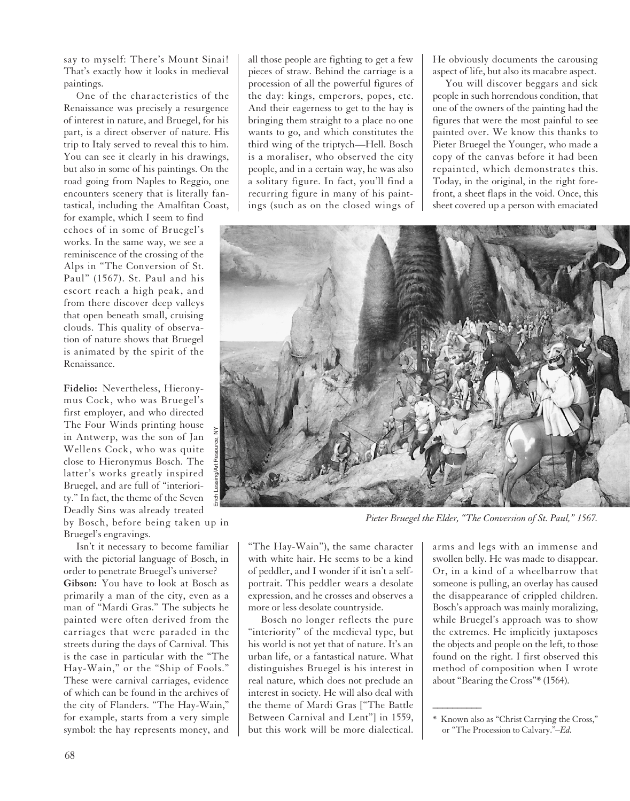say to myself: There's Mount Sinai! That's exactly how it looks in medieval paintings.

One of the characteristics of the Renaissance was precisely a resurgence of interest in nature, and Bruegel, for his part, is a direct observer of nature. His trip to Italy served to reveal this to him. You can see it clearly in his drawings, but also in some of his paintings. On the road going from Naples to Reggio, one encounters scenery that is literally fantastical, including the Amalfitan Coast,

for example, which I seem to find echoes of in some of Bruegel's works. In the same way, we see a reminiscence of the crossing of the Alps in "The Conversion of St. Paul" (1567). St. Paul and his escort reach a high peak, and from there discover deep valleys that open beneath small, cruising clouds. This quality of observation of nature shows that Bruegel is animated by the spirit of the Renaissance.

**Fidelio:** Nevertheless, Hieronymus Cock, who was Bruegel's first employer, and who directed The Four Winds printing house in Antwerp, was the son of Jan Wellens Cock, who was quite close to Hieronymus Bosch. The latter's works greatly inspired Bruegel, and are full of "interiority." In fact, the theme of the Seven Deadly Sins was already treated

by Bosch, before being taken up in Bruegel's engravings.

Isn't it necessary to become familiar with the pictorial language of Bosch, in order to penetrate Bruegel's universe? **Gibson:** You have to look at Bosch as primarily a man of the city, even as a man of "Mardi Gras." The subjects he painted were often derived from the carriages that were paraded in the streets during the days of Carnival. This is the case in particular with the "The Hay-Wain," or the "Ship of Fools." These were carnival carriages, evidence of which can be found in the archives of the city of Flanders. "The Hay-Wain," for example, starts from a very simple symbol: the hay represents money, and

all those people are fighting to get a few pieces of straw. Behind the carriage is a procession of all the powerful figures of the day: kings, emperors, popes, etc. And their eagerness to get to the hay is bringing them straight to a place no one wants to go, and which constitutes the third wing of the triptych—Hell. Bosch is a moraliser, who observed the city people, and in a certain way, he was also a solitary figure. In fact, you'll find a recurring figure in many of his paintings (such as on the closed wings of He obviously documents the carousing aspect of life, but also its macabre aspect.

You will discover beggars and sick people in such horrendous condition, that one of the owners of the painting had the figures that were the most painful to see painted over. We know this thanks to Pieter Bruegel the Younger, who made a copy of the canvas before it had been repainted, which demonstrates this. Today, in the original, in the right forefront, a sheet flaps in the void. Once, this sheet covered up a person with emaciated



*Pieter Bruegel the Elder, "The Conversion of St. Paul," 1567.*

 $\overline{\phantom{a}}$ 

"The Hay-Wain"), the same character with white hair. He seems to be a kind of peddler, and I wonder if it isn't a selfportrait. This peddler wears a desolate expression, and he crosses and observes a more or less desolate countryside.

Bosch no longer reflects the pure "interiority" of the medieval type, but his world is not yet that of nature. It's an urban life, or a fantastical nature. What distinguishes Bruegel is his interest in real nature, which does not preclude an interest in society. He will also deal with the theme of Mardi Gras ["The Battle Between Carnival and Lent"] in 1559, but this work will be more dialectical. arms and legs with an immense and swollen belly. He was made to disappear. Or, in a kind of a wheelbarrow that someone is pulling, an overlay has caused the disappearance of crippled children. Bosch's approach was mainly moralizing, while Bruegel's approach was to show the extremes. He implicitly juxtaposes the objects and people on the left, to those found on the right. I first observed this method of composition when I wrote about "Bearing the Cross"\* (1564).

<sup>\*</sup> Known also as "Christ Carrying the Cross," or "The Procession to Calvary."*–Ed.*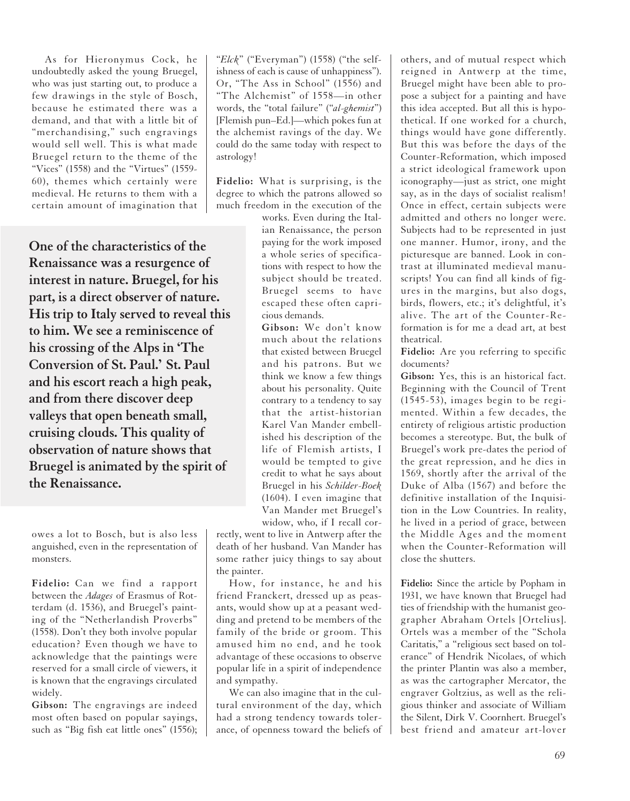As for Hieronymus Cock, he undoubtedly asked the young Bruegel, who was just starting out, to produce a few drawings in the style of Bosch, because he estimated there was a demand, and that with a little bit of "merchandising," such engravings would sell well. This is what made Bruegel return to the theme of the "Vices" (1558) and the "Virtues" (1559- 60), themes which certainly were medieval. He returns to them with a certain amount of imagination that

**One of the characteristics of the Renaissance was a resurgence of interest in nature. Bruegel, for his part, is a direct observer of nature. His trip to Italy served to reveal this to him. We see a reminiscence of his crossing of the Alps in 'The Conversion of St. Paul.' St. Paul and his escort reach a high peak, and from there discover deep valleys that open beneath small, cruising clouds. This quality of observation of nature shows that Bruegel is animated by the spirit of the Renaissance.**

owes a lot to Bosch, but is also less anguished, even in the representation of monsters.

**Fidelio:** Can we find a rapport between the *Adages* of Erasmus of Rotterdam (d. 1536), and Bruegel's painting of the "Netherlandish Proverbs" (1558). Don't they both involve popular education? Even though we have to acknowledge that the paintings were reserved for a small circle of viewers, it is known that the engravings circulated widely.

**Gibson:** The engravings are indeed most often based on popular sayings, such as "Big fish eat little ones" (1556); "*Elck*" ("Everyman") (1558) ("the selfishness of each is cause of unhappiness"). Or, "The Ass in School" (1556) and "The Alchemist" of 1558—in other words, the "total failure" ("*al-ghemist*") [Flemish pun–Ed.]—which pokes fun at the alchemist ravings of the day. We could do the same today with respect to astrology!

**Fidelio:** What is surprising, is the degree to which the patrons allowed so much freedom in the execution of the

> works. Even during the Italian Renaissance, the person paying for the work imposed a whole series of specifications with respect to how the subject should be treated. Bruegel seems to have escaped these often capricious demands.

> **Gibson:** We don't know much about the relations that existed between Bruegel and his patrons. But we think we know a few things about his personality. Quite contrary to a tendency to say that the artist-historian Karel Van Mander embellished his description of the life of Flemish artists, I would be tempted to give credit to what he says about Bruegel in his *Schilder-Boek* (1604). I even imagine that Van Mander met Bruegel's widow, who, if I recall cor-

rectly, went to live in Antwerp after the death of her husband. Van Mander has some rather juicy things to say about the painter.

How, for instance, he and his friend Franckert, dressed up as peasants, would show up at a peasant wedding and pretend to be members of the family of the bride or groom. This amused him no end, and he took advantage of these occasions to observe popular life in a spirit of independence and sympathy.

We can also imagine that in the cultural environment of the day, which had a strong tendency towards tolerance, of openness toward the beliefs of others, and of mutual respect which reigned in Antwerp at the time, Bruegel might have been able to propose a subject for a painting and have this idea accepted. But all this is hypothetical. If one worked for a church, things would have gone differently. But this was before the days of the Counter-Reformation, which imposed a strict ideological framework upon iconography—just as strict, one might say, as in the days of socialist realism! Once in effect, certain subjects were admitted and others no longer were. Subjects had to be represented in just one manner. Humor, irony, and the picturesque are banned. Look in contrast at illuminated medieval manuscripts! You can find all kinds of figures in the margins, but also dogs, birds, flowers, etc.; it's delightful, it's alive. The art of the Counter-Reformation is for me a dead art, at best theatrical.

**Fidelio:** Are you referring to specific documents?

**Gibson:** Yes, this is an historical fact. Beginning with the Council of Trent (1545-53), images begin to be regimented. Within a few decades, the entirety of religious artistic production becomes a stereotype. But, the bulk of Bruegel's work pre-dates the period of the great repression, and he dies in 1569, shortly after the arrival of the Duke of Alba (1567) and before the definitive installation of the Inquisition in the Low Countries. In reality, he lived in a period of grace, between the Middle Ages and the moment when the Counter-Reformation will close the shutters.

**Fidelio:** Since the article by Popham in 1931, we have known that Bruegel had ties of friendship with the humanist geographer Abraham Ortels [Ortelius]. Ortels was a member of the "Schola Caritatis," a "religious sect based on tolerance" of Hendrik Nicolaes, of which the printer Plantin was also a member, as was the cartographer Mercator, the engraver Goltzius, as well as the religious thinker and associate of William the Silent, Dirk V. Coornhert. Bruegel's best friend and amateur art-lover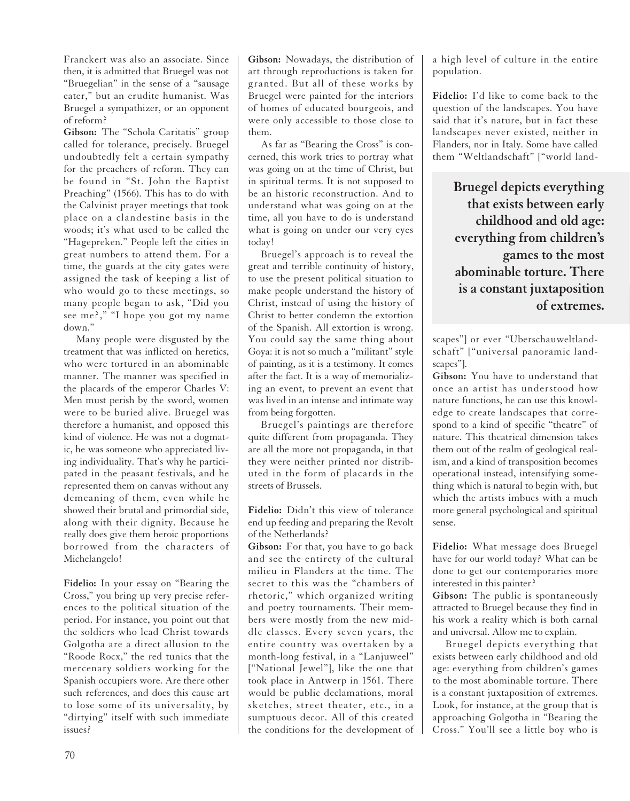Franckert was also an associate. Since then, it is admitted that Bruegel was not "Bruegelian" in the sense of a "sausage eater," but an erudite humanist. Was Bruegel a sympathizer, or an opponent of reform?

**Gibson:** The "Schola Caritatis" group called for tolerance, precisely. Bruegel undoubtedly felt a certain sympathy for the preachers of reform. They can be found in "St. John the Baptist Preaching" (1566). This has to do with the Calvinist prayer meetings that took place on a clandestine basis in the woods; it's what used to be called the "Hagepreken." People left the cities in great numbers to attend them. For a time, the guards at the city gates were assigned the task of keeping a list of who would go to these meetings, so many people began to ask, "Did you see me?," "I hope you got my name down."

Many people were disgusted by the treatment that was inflicted on heretics, who were tortured in an abominable manner. The manner was specified in the placards of the emperor Charles V: Men must perish by the sword, women were to be buried alive. Bruegel was therefore a humanist, and opposed this kind of violence. He was not a dogmatic, he was someone who appreciated living individuality. That's why he participated in the peasant festivals, and he represented them on canvas without any demeaning of them, even while he showed their brutal and primordial side, along with their dignity. Because he really does give them heroic proportions borrowed from the characters of Michelangelo!

**Fidelio:** In your essay on "Bearing the Cross," you bring up very precise references to the political situation of the period. For instance, you point out that the soldiers who lead Christ towards Golgotha are a direct allusion to the "Roode Rocx," the red tunics that the mercenary soldiers working for the Spanish occupiers wore. Are there other such references, and does this cause art to lose some of its universality, by "dirtying" itself with such immediate issues?

**Gibson:** Nowadays, the distribution of art through reproductions is taken for granted. But all of these works by Bruegel were painted for the interiors of homes of educated bourgeois, and were only accessible to those close to them.

As far as "Bearing the Cross" is concerned, this work tries to portray what was going on at the time of Christ, but in spiritual terms. It is not supposed to be an historic reconstruction. And to understand what was going on at the time, all you have to do is understand what is going on under our very eyes today!

Bruegel's approach is to reveal the great and terrible continuity of history, to use the present political situation to make people understand the history of Christ, instead of using the history of Christ to better condemn the extortion of the Spanish. All extortion is wrong. You could say the same thing about Goya: it is not so much a "militant" style of painting, as it is a testimony. It comes after the fact. It is a way of memorializing an event, to prevent an event that was lived in an intense and intimate way from being forgotten.

Bruegel's paintings are therefore quite different from propaganda. They are all the more not propaganda, in that they were neither printed nor distributed in the form of placards in the streets of Brussels.

**Fidelio:** Didn't this view of tolerance end up feeding and preparing the Revolt of the Netherlands?

**Gibson:** For that, you have to go back and see the entirety of the cultural milieu in Flanders at the time. The secret to this was the "chambers of rhetoric," which organized writing and poetry tournaments. Their members were mostly from the new middle classes. Every seven years, the entire country was overtaken by a month-long festival, in a "Lanjuweel" ["National Jewel"], like the one that took place in Antwerp in 1561. There would be public declamations, moral sketches, street theater, etc., in a sumptuous decor. All of this created the conditions for the development of a high level of culture in the entire population.

**Fidelio:** I'd like to come back to the question of the landscapes. You have said that it's nature, but in fact these landscapes never existed, neither in Flanders, nor in Italy. Some have called them "Weltlandschaft" ["world land-

> **Bruegel depicts everything that exists between early childhood and old age: everything from children's games to the most abominable torture. There is a constant juxtaposition of extremes.**

scapes"] or ever "Uberschauweltlandschaft" ["universal panoramic landscapes"].

**Gibson:** You have to understand that once an artist has understood how nature functions, he can use this knowledge to create landscapes that correspond to a kind of specific "theatre" of nature. This theatrical dimension takes them out of the realm of geological realism, and a kind of transposition becomes operational instead, intensifying something which is natural to begin with, but which the artists imbues with a much more general psychological and spiritual sense.

**Fidelio:** What message does Bruegel have for our world today? What can be done to get our contemporaries more interested in this painter?

**Gibson:** The public is spontaneously attracted to Bruegel because they find in his work a reality which is both carnal and universal. Allow me to explain.

Bruegel depicts everything that exists between early childhood and old age: everything from children's games to the most abominable torture. There is a constant juxtaposition of extremes. Look, for instance, at the group that is approaching Golgotha in "Bearing the Cross." You'll see a little boy who is